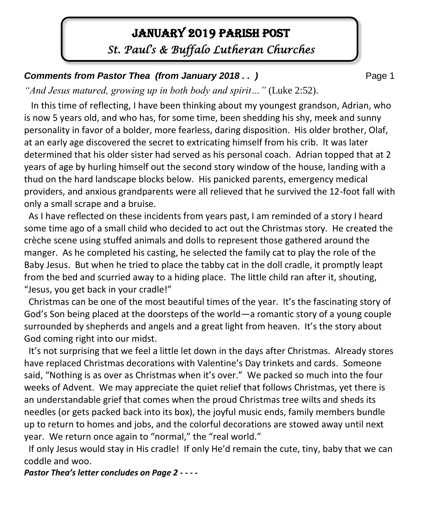# January 2019 PARISH POST

*St. Paul's & Buffalo Lutheran Churches* 

**Comments from Pastor Thea (from January 2018 . . )** Page 1

*"And Jesus matured, growing up in both body and spirit…"* (Luke 2:52).

 In this time of reflecting, I have been thinking about my youngest grandson, Adrian, who is now 5 years old, and who has, for some time, been shedding his shy, meek and sunny personality in favor of a bolder, more fearless, daring disposition. His older brother, Olaf, at an early age discovered the secret to extricating himself from his crib. It was later determined that his older sister had served as his personal coach. Adrian topped that at 2 years of age by hurling himself out the second story window of the house, landing with a thud on the hard landscape blocks below. His panicked parents, emergency medical providers, and anxious grandparents were all relieved that he survived the 12-foot fall with only a small scrape and a bruise.

 As I have reflected on these incidents from years past, I am reminded of a story I heard some time ago of a small child who decided to act out the Christmas story. He created the crèche scene using stuffed animals and dolls to represent those gathered around the manger. As he completed his casting, he selected the family cat to play the role of the Baby Jesus. But when he tried to place the tabby cat in the doll cradle, it promptly leapt from the bed and scurried away to a hiding place. The little child ran after it, shouting, "Jesus, you get back in your cradle!"

 Christmas can be one of the most beautiful times of the year. It's the fascinating story of God's Son being placed at the doorsteps of the world—a romantic story of a young couple surrounded by shepherds and angels and a great light from heaven. It's the story about God coming right into our midst.

 It's not surprising that we feel a little let down in the days after Christmas. Already stores have replaced Christmas decorations with Valentine's Day trinkets and cards. Someone said, "Nothing is as over as Christmas when it's over." We packed so much into the four weeks of Advent. We may appreciate the quiet relief that follows Christmas, yet there is an understandable grief that comes when the proud Christmas tree wilts and sheds its needles (or gets packed back into its box), the joyful music ends, family members bundle up to return to homes and jobs, and the colorful decorations are stowed away until next year. We return once again to "normal," the "real world."

 If only Jesus would stay in His cradle! If only He'd remain the cute, tiny, baby that we can coddle and woo.

*Pastor Thea's letter concludes on Page 2 - - - -*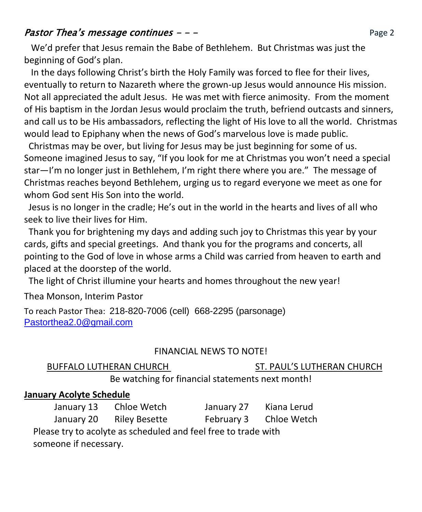# **Pastor Thea's message continues**  $-\frac{1}{2}$  **and the Page 2** Page 2

 We'd prefer that Jesus remain the Babe of Bethlehem. But Christmas was just the beginning of God's plan.

 In the days following Christ's birth the Holy Family was forced to flee for their lives, eventually to return to Nazareth where the grown-up Jesus would announce His mission. Not all appreciated the adult Jesus. He was met with fierce animosity. From the moment of His baptism in the Jordan Jesus would proclaim the truth, befriend outcasts and sinners, and call us to be His ambassadors, reflecting the light of His love to all the world. Christmas would lead to Epiphany when the news of God's marvelous love is made public.

 Christmas may be over, but living for Jesus may be just beginning for some of us. Someone imagined Jesus to say, "If you look for me at Christmas you won't need a special star—I'm no longer just in Bethlehem, I'm right there where you are." The message of Christmas reaches beyond Bethlehem, urging us to regard everyone we meet as one for whom God sent His Son into the world.

 Jesus is no longer in the cradle; He's out in the world in the hearts and lives of all who seek to live their lives for Him.

 Thank you for brightening my days and adding such joy to Christmas this year by your cards, gifts and special greetings. And thank you for the programs and concerts, all pointing to the God of love in whose arms a Child was carried from heaven to earth and placed at the doorstep of the world.

The light of Christ illumine your hearts and homes throughout the new year!

Thea Monson, Interim Pastor

To reach Pastor Thea: 218-820-7006 (cell) 668-2295 (parsonage) [Pastorthea2.0@gmail.com](mailto:Pastorthea2.0@gmail.com)

### FINANCIAL NEWS TO NOTE!

#### BUFFALO LUTHERAN CHURCH ST. PAUL'S LUTHERAN CHURCH

Be watching for financial statements next month!

# **January Acolyte Schedule**

January 13 Chloe Wetch January 27 Kiana Lerud

January 20 Riley Besette February 3 Chloe Wetch

 Please try to acolyte as scheduled and feel free to trade with someone if necessary.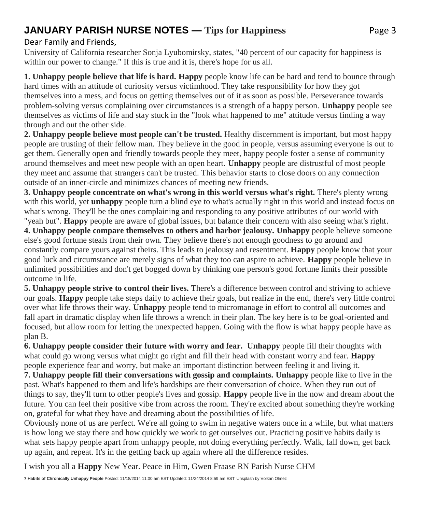# **JANUARY PARISH NURSE NOTES — Tips for Happiness Page 3**

#### Dear Family and Friends,

University of California researcher Sonja Lyubomirsky, states, "40 percent of our capacity for happiness is within our power to change." If this is true and it is, there's hope for us all.

**1. Unhappy people believe that life is hard. Happy** people know life can be hard and tend to bounce through hard times with an attitude of curiosity versus victimhood. They take responsibility for how they got themselves into a mess, and focus on getting themselves out of it as soon as possible. Perseverance towards problem-solving versus complaining over circumstances is a strength of a happy person. **Unhappy** people see themselves as victims of life and stay stuck in the "look what happened to me" attitude versus finding a way through and out the other side.

**2. Unhappy people believe most people can't be trusted.** Healthy discernment is important, but most happy people are trusting of their fellow man. They believe in the good in people, versus assuming everyone is out to get them. Generally open and friendly towards people they meet, happy people foster a sense of community around themselves and meet new people with an open heart. **Unhappy** people are distrustful of most people they meet and assume that strangers can't be trusted. This behavior starts to close doors on any connection outside of an inner-circle and minimizes chances of meeting new friends.

**3. Unhappy people concentrate on what's wrong in this world versus what's right.** There's plenty wrong with this world, yet **unhappy** people turn a blind eye to what's actually right in this world and instead focus on what's wrong. They'll be the ones complaining and responding to any positive attributes of our world with

"yeah but". **Happy** people are aware of global issues, but balance their concern with also seeing what's right. **4. Unhappy people compare themselves to others and harbor jealousy. Unhappy** people believe someone else's good fortune steals from their own. They believe there's not enough goodness to go around and constantly compare yours against theirs. This leads to jealousy and resentment. **Happy** people know that your good luck and circumstance are merely signs of what they too can aspire to achieve. **Happy** people believe in unlimited possibilities and don't get bogged down by thinking one person's good fortune limits their possible outcome in life.

**5. Unhappy people strive to control their lives.** There's a difference between control and striving to achieve our goals. **Happy** people take steps daily to achieve their goals, but realize in the end, there's very little control over what life throws their way. **Unhappy** people tend to micromanage in effort to control all outcomes and fall apart in dramatic display when life throws a wrench in their plan. The key here is to be goal-oriented and focused, but allow room for letting the unexpected happen. Going with the flow is what happy people have as plan B.

**6. Unhappy people consider their future with worry and fear. Unhappy** people fill their thoughts with what could go wrong versus what might go right and fill their head with constant worry and fear. **Happy** people experience fear and worry, but make an important distinction between feeling it and living it.

**7. Unhappy people fill their conversations with gossip and complaints. Unhappy** people like to live in the past. What's happened to them and life's hardships are their conversation of choice. When they run out of things to say, they'll turn to other people's lives and gossip. **Happy** people live in the now and dream about the future. You can feel their positive vibe from across the room. They're excited about something they're working on, grateful for what they have and dreaming about the possibilities of life.

Obviously none of us are perfect. We're all going to swim in negative waters once in a while, but what matters is how long we stay there and how quickly we work to get ourselves out. Practicing positive habits daily is what sets happy people apart from unhappy people, not doing everything perfectly. Walk, fall down, get back up again, and repeat. It's in the getting back up again where all the difference resides.

I wish you all a **Happy** New Year. Peace in Him, Gwen Fraase RN Parish Nurse CHM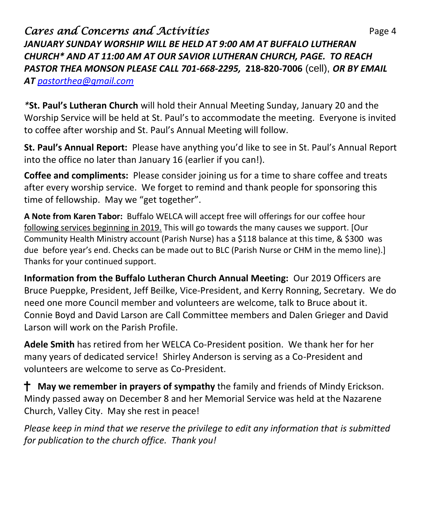# **Cares and Concerns and Activities Page 4** Page 4 *JANUARY SUNDAY WORSHIP WILL BE HELD AT 9:00 AM AT BUFFALO LUTHERAN CHURCH\* AND AT 11:00 AM AT OUR SAVIOR LUTHERAN CHURCH, PAGE. TO REACH PASTOR THEA MONSON PLEASE CALL 701-668-2295,* **218-820-7006** (cell), *OR BY EMAIL AT [pastorthea@gmail.com](mailto:pastorthea@gmail.com)*

*\****St. Paul's Lutheran Church** will hold their Annual Meeting Sunday, January 20 and the Worship Service will be held at St. Paul's to accommodate the meeting. Everyone is invited to coffee after worship and St. Paul's Annual Meeting will follow.

**St. Paul's Annual Report:** Please have anything you'd like to see in St. Paul's Annual Report into the office no later than January 16 (earlier if you can!).

**Coffee and compliments:** Please consider joining us for a time to share coffee and treats after every worship service. We forget to remind and thank people for sponsoring this time of fellowship. May we "get together".

**A Note from Karen Tabor:** Buffalo WELCA will accept free will offerings for our coffee hour following services beginning in 2019. This will go towards the many causes we support. [Our Community Health Ministry account (Parish Nurse) has a \$118 balance at this time, & \$300 was due before year's end. Checks can be made out to BLC (Parish Nurse or CHM in the memo line).] Thanks for your continued support.

**Information from the Buffalo Lutheran Church Annual Meeting:** Our 2019 Officers are Bruce Pueppke, President, Jeff Beilke, Vice-President, and Kerry Ronning, Secretary. We do need one more Council member and volunteers are welcome, talk to Bruce about it. Connie Boyd and David Larson are Call Committee members and Dalen Grieger and David Larson will work on the Parish Profile.

**Adele Smith** has retired from her WELCA Co-President position. We thank her for her many years of dedicated service! Shirley Anderson is serving as a Co-President and volunteers are welcome to serve as Co-President.

**May we remember in prayers of sympathy** the family and friends of Mindy Erickson. Mindy passed away on December 8 and her Memorial Service was held at the Nazarene Church, Valley City. May she rest in peace!

*Please keep in mind that we reserve the privilege to edit any information that is submitted for publication to the church office. Thank you!*